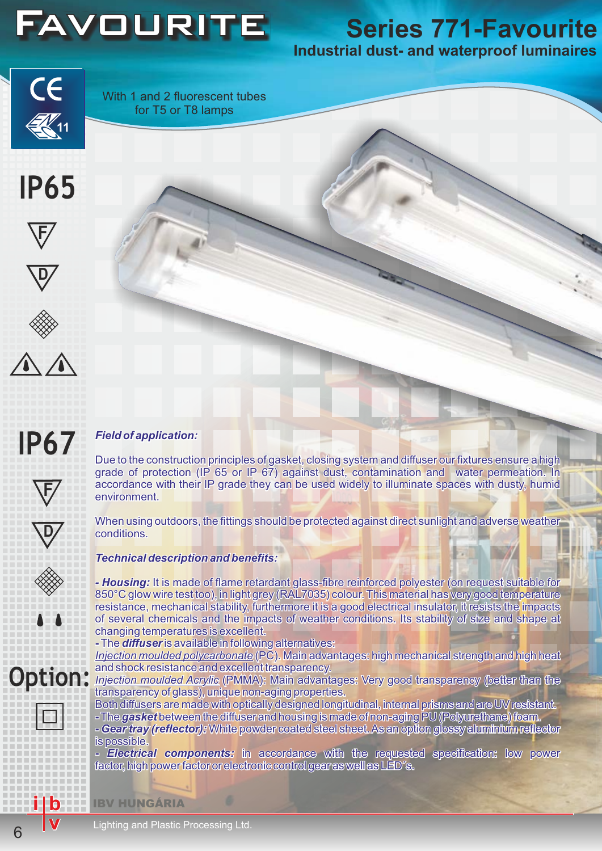

# **Industrial dust- and waterproof luminaires**

CE

With 1 and 2 fluorescent tubes for T5 or T8 lamps











**F**

**D**

### *Field of application:* **IP67**

Due to the construction principles of gasket, closing system and diffuser our fixtures ensure a high grade of protection (IP 65 or IP 67) against dust, contamination and water permeation. In accordance with their IP grade they can be used widely to illuminate spaces with dusty, humid environment.

When using outdoors, the fittings should be protected against direct sunlight and adverse weather conditions.

*Technical description and benefits:*

*- Housing:*It is made of flame retardant glass-fibre reinforced polyester (on request suitable for 850°C glow wire test too), in light grey (RAL7035) colour. This material has very good temperature resistance, mechanical stability, furthermore it is a good electrical insulator, it resists the impacts of several chemical resistance, mechanical stability, furthermore it is a good electrical insulator, it resists the impacts of several chemicals and the impacts of weather conditions. Its stability of size and shape at changing temperatures is excellent. Friend of application:<br>
The dotaphication:<br>
Due to the construction princing and ed of protection (IP 65)<br>
accordance with their IP grand<br>
environment.<br>
When using outdoors, the fitting conditions.<br>
Technical description a

**-** The*diffuser* is available in following alternatives:

*Injection moulded polycarbonate* (PC). Main advantages: high mechanical strength and high heat and shock resistance and excellent transparency.

*Injection moulded Acrylic* (PMMA): Main advantages: Very good transparency (better than the transparency of glass), unique non-aging properties.

Both diffusers are made with optically designed longitudinal, internal prisms and are UV resistant. **-** The*gasket*between the diffuser and housing is made of non-aging PU (Polyurethane) foam. **-** *Gear tray (reflector):*White powder coated steel sheet. As an option glossy aluminium reflector is possible.

**-** *Electrical components:*in accordance with the requested specification: low power factor, high power factor or electronic control gear as well as LED´s.

IBV HUNGÁRIA

Lighting and Plastic Processing Ltd.

**i**

**v**

**b**

**Option:**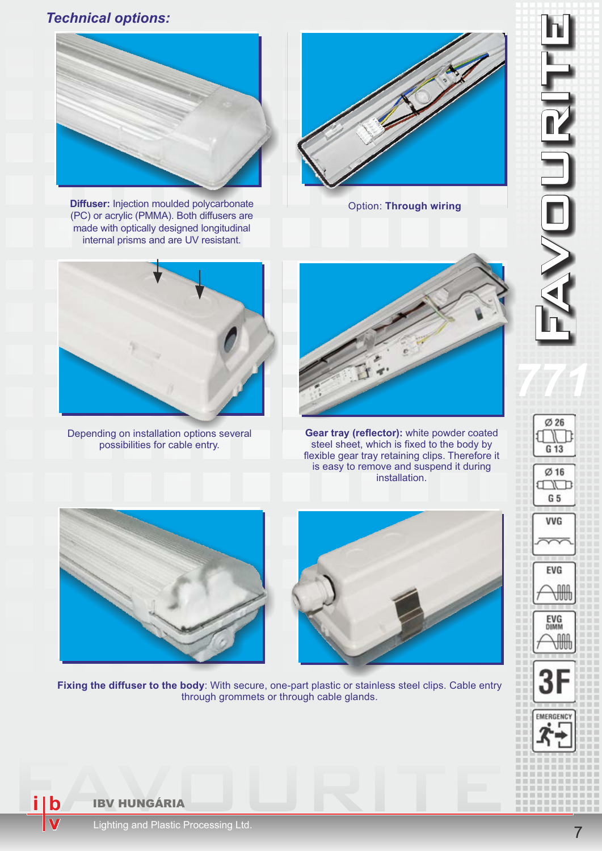## *Technical options:*



**Diffuser:** Injection moulded polycarbonate (PC) or acrylic (PMMA). Both diffusers are made with optically designed longitudinal internal prisms and are UV resistant.



Option: **Through wiring**



Depending on installation options several possibilities for cable entry.



**Gear tray (reflector):** white powder coated steel sheet, which is fixed to the body by flexible gear tray retaining clips. Therefore it is easy to remove and suspend it during installation.





**Fixing the diffuser to the body**: With secure, one-part plastic or stainless steel clips. Cable entry through grommets or through cable glands.

 $\emptyset$  26 10 N D G 13

Ø 16 **TND** G 5

VVG

EVG

EVG<br><sub>DIMM</sub>

₩

**i**

**v**

**b**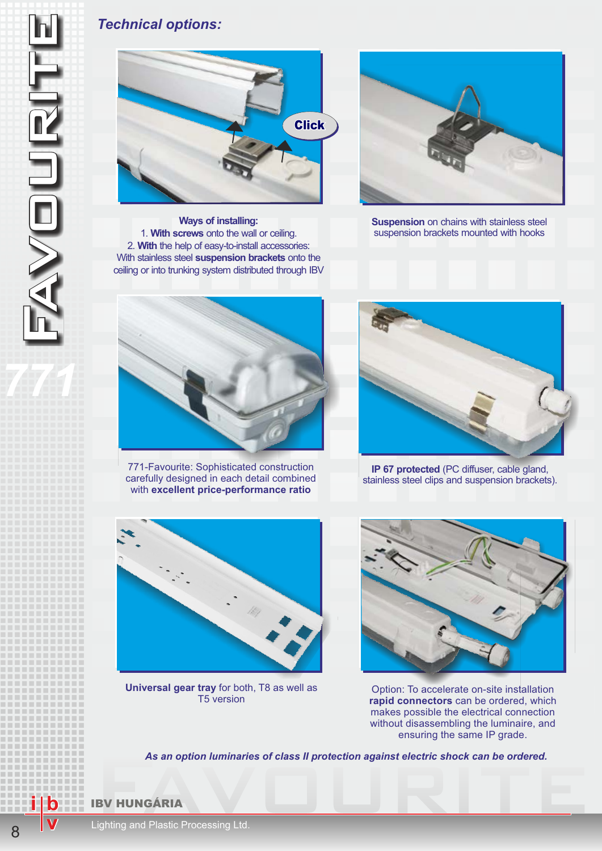## *Technical options:*



**Ways of installing:** 1. **With screws** onto the wall or ceiling. 2. **With** the help of easy-to-install accessories: With stainless steel **suspension brackets** onto the ceiling or into trunking system distributed through IBV



**Suspension** on chains with stainless steel suspension brackets mounted with hooks



771-Favourite: Sophisticated construction carefully designed in each detail combined with **excellent price-performance ratio**



**IP 67 protected** (PC diffuser, cable gland, stainless steel clips and suspension brackets).



**Universal gear tray** for both, T8 as well as T5 version



Option: To accelerate on-site installation **rapid connectors** can be ordered, which makes possible the electrical connection without disassembling the luminaire, and ensuring the same IP grade.

As an option luminaries of class II protection against electric shock can be ordered.<br>
IBV HUNGÁRIA<br>
Lighting and Plastic Processing Ltd. *As an option luminaries of class II protection against electric shock can be ordered.*